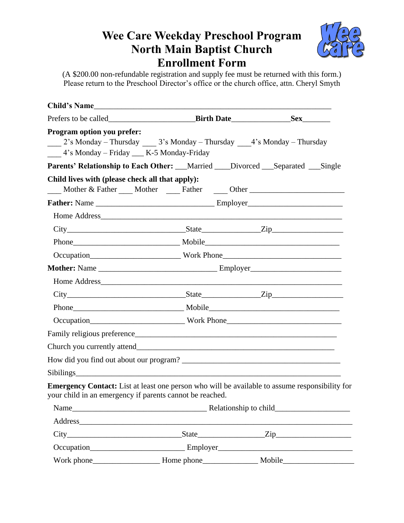## **Wee Care Weekday Preschool Program North Main Baptist Church Enrollment Form**



(A \$200.00 non-refundable registration and supply fee must be returned with this form.) Please return to the Preschool Director's office or the church office, attn. Cheryl Smyth

|                                                                                                                                                                  | Birth Date Sex                                                                                                                                                                                                                 |
|------------------------------------------------------------------------------------------------------------------------------------------------------------------|--------------------------------------------------------------------------------------------------------------------------------------------------------------------------------------------------------------------------------|
| <b>Program option you prefer:</b><br>2's Monday - Thursday ______ 3's Monday - Thursday ______ 4's Monday - Thursday<br>4's Monday - Friday __ K-5 Monday-Friday |                                                                                                                                                                                                                                |
| Parents' Relationship to Each Other: __Married ___Divorced __Separated __Single                                                                                  |                                                                                                                                                                                                                                |
| Child lives with (please check all that apply):                                                                                                                  | Mother & Father Mother Eather Cher Cher Chern Chern Chern Chern Chern Chern Chern Chern Chern Chern Chern Chern Chern Chern Chern Chern Chern Chern Chern Chern Chern Chern Chern Chern Chern Chern Chern Chern Chern Chern Ch |
|                                                                                                                                                                  |                                                                                                                                                                                                                                |
|                                                                                                                                                                  |                                                                                                                                                                                                                                |
|                                                                                                                                                                  |                                                                                                                                                                                                                                |
|                                                                                                                                                                  |                                                                                                                                                                                                                                |
|                                                                                                                                                                  |                                                                                                                                                                                                                                |
|                                                                                                                                                                  |                                                                                                                                                                                                                                |
|                                                                                                                                                                  |                                                                                                                                                                                                                                |
|                                                                                                                                                                  | $City$ $City$ $State$ $Zip$                                                                                                                                                                                                    |
|                                                                                                                                                                  |                                                                                                                                                                                                                                |
|                                                                                                                                                                  |                                                                                                                                                                                                                                |
|                                                                                                                                                                  |                                                                                                                                                                                                                                |
|                                                                                                                                                                  |                                                                                                                                                                                                                                |
|                                                                                                                                                                  |                                                                                                                                                                                                                                |
|                                                                                                                                                                  |                                                                                                                                                                                                                                |
| your child in an emergency if parents cannot be reached.                                                                                                         | Emergency Contact: List at least one person who will be available to assume responsibility for                                                                                                                                 |
|                                                                                                                                                                  |                                                                                                                                                                                                                                |
|                                                                                                                                                                  |                                                                                                                                                                                                                                |
|                                                                                                                                                                  |                                                                                                                                                                                                                                |
|                                                                                                                                                                  |                                                                                                                                                                                                                                |
|                                                                                                                                                                  |                                                                                                                                                                                                                                |